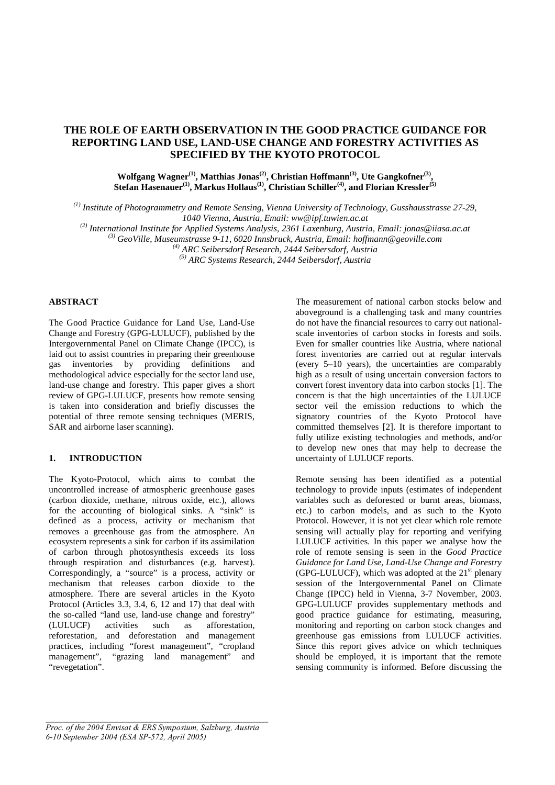# **THE ROLE OF EARTH OBSERVATION IN THE GOOD PRACTICE GUIDANCE FOR REPORTING LAND USE, LAND-USE CHANGE AND FORESTRY ACTIVITIES AS SPECIFIED BY THE KYOTO PROTOCOL**

Wolfgang Wagner<sup>(1)</sup>, Matthias Jonas<sup>(2)</sup>, Christian Hoffmann<sup>(3)</sup>, Ute Gangkofner<sup>(3)</sup>, **Stefan Hasenauer(1), Markus Hollaus(1), Christian Schiller(4), and Florian Kressler(5)** 

*(1) Institute of Photogrammetry and Remote Sensing, Vienna University of Technology, Gusshausstrasse 27-29, 1040 Vienna, Austria, Email: ww@ipf.tuwien.ac.at* 

*(2) International Institute for Applied Systems Analysis, 2361 Laxenburg, Austria, Email: jonas@iiasa.ac.at* 

*(3) GeoVille, Museumstrasse 9-11, 6020 Innsbruck, Austria, Email: hoffmann@geoville.com* 

*(4) ARC Seibersdorf Research, 2444 Seibersdorf, Austria* 

*(5) ARC Systems Research, 2444 Seibersdorf, Austria* 

## **ABSTRACT**

The Good Practice Guidance for Land Use, Land-Use Change and Forestry (GPG-LULUCF), published by the Intergovernmental Panel on Climate Change (IPCC), is laid out to assist countries in preparing their greenhouse gas inventories by providing definitions and methodological advice especially for the sector land use, land-use change and forestry. This paper gives a short review of GPG-LULUCF, presents how remote sensing is taken into consideration and briefly discusses the potential of three remote sensing techniques (MERIS, SAR and airborne laser scanning).

#### **1. INTRODUCTION**

The Kyoto-Protocol, which aims to combat the uncontrolled increase of atmospheric greenhouse gases (carbon dioxide, methane, nitrous oxide, etc.), allows for the accounting of biological sinks. A "sink" is defined as a process, activity or mechanism that removes a greenhouse gas from the atmosphere. An ecosystem represents a sink for carbon if its assimilation of carbon through photosynthesis exceeds its loss through respiration and disturbances (e.g. harvest). Correspondingly, a "source" is a process, activity or mechanism that releases carbon dioxide to the atmosphere. There are several articles in the Kyoto Protocol (Articles 3.3, 3.4, 6, 12 and 17) that deal with the so-called "land use, land-use change and forestry" (LULUCF) activities such as afforestation, reforestation, and deforestation and management practices, including "forest management", "cropland management", "grazing land management" and "revegetation".

The measurement of national carbon stocks below and aboveground is a challenging task and many countries do not have the financial resources to carry out nationalscale inventories of carbon stocks in forests and soils. Even for smaller countries like Austria, where national forest inventories are carried out at regular intervals (every 5–10 years), the uncertainties are comparably high as a result of using uncertain conversion factors to convert forest inventory data into carbon stocks [1]. The concern is that the high uncertainties of the LULUCF sector veil the emission reductions to which the signatory countries of the Kyoto Protocol have committed themselves [2]. It is therefore important to fully utilize existing technologies and methods, and/or to develop new ones that may help to decrease the uncertainty of LULUCF reports.

Remote sensing has been identified as a potential technology to provide inputs (estimates of independent variables such as deforested or burnt areas, biomass, etc.) to carbon models, and as such to the Kyoto Protocol. However, it is not yet clear which role remote sensing will actually play for reporting and verifying LULUCF activities. In this paper we analyse how the role of remote sensing is seen in the *Good Practice Guidance for Land Use, Land-Use Change and Forestry*  (GPG-LULUCF), which was adopted at the  $21<sup>st</sup>$  plenary session of the Intergovernmental Panel on Climate Change (IPCC) held in Vienna, 3-7 November, 2003. GPG-LULUCF provides supplementary methods and good practice guidance for estimating, measuring, monitoring and reporting on carbon stock changes and greenhouse gas emissions from LULUCF activities. Since this report gives advice on which techniques should be employed, it is important that the remote sensing community is informed. Before discussing the

*Proc. of the 2004 Envisat & ERS Symposium, Salzburg, Austria 6-10 September 2004 (ESA SP-572, April 2005)*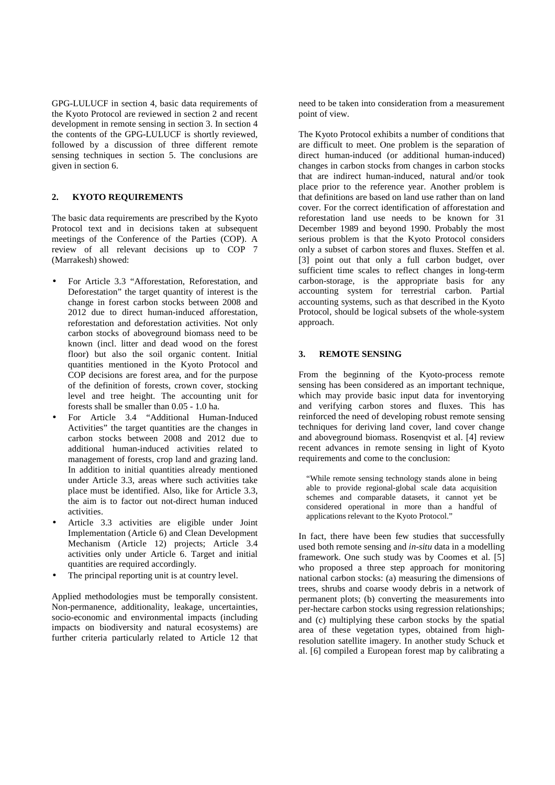GPG-LULUCF in section 4, basic data requirements of the Kyoto Protocol are reviewed in section 2 and recent development in remote sensing in section 3. In section 4 the contents of the GPG-LULUCF is shortly reviewed, followed by a discussion of three different remote sensing techniques in section 5. The conclusions are given in section 6.

## **2. KYOTO REQUIREMENTS**

The basic data requirements are prescribed by the Kyoto Protocol text and in decisions taken at subsequent meetings of the Conference of the Parties (COP). A review of all relevant decisions up to COP 7 (Marrakesh) showed:

- For Article 3.3 "Afforestation, Reforestation, and Deforestation" the target quantity of interest is the change in forest carbon stocks between 2008 and 2012 due to direct human-induced afforestation, reforestation and deforestation activities. Not only carbon stocks of aboveground biomass need to be known (incl. litter and dead wood on the forest floor) but also the soil organic content. Initial quantities mentioned in the Kyoto Protocol and COP decisions are forest area, and for the purpose of the definition of forests, crown cover, stocking level and tree height. The accounting unit for forests shall be smaller than 0.05 - 1.0 ha.
- For Article 3.4 "Additional Human-Induced Activities" the target quantities are the changes in carbon stocks between 2008 and 2012 due to additional human-induced activities related to management of forests, crop land and grazing land. In addition to initial quantities already mentioned under Article 3.3, areas where such activities take place must be identified. Also, like for Article 3.3, the aim is to factor out not-direct human induced activities.
- Article 3.3 activities are eligible under Joint Implementation (Article 6) and Clean Development Mechanism (Article 12) projects; Article 3.4 activities only under Article 6. Target and initial quantities are required accordingly.
- The principal reporting unit is at country level.

Applied methodologies must be temporally consistent. Non-permanence, additionality, leakage, uncertainties, socio-economic and environmental impacts (including impacts on biodiversity and natural ecosystems) are further criteria particularly related to Article 12 that need to be taken into consideration from a measurement point of view.

The Kyoto Protocol exhibits a number of conditions that are difficult to meet. One problem is the separation of direct human-induced (or additional human-induced) changes in carbon stocks from changes in carbon stocks that are indirect human-induced, natural and/or took place prior to the reference year. Another problem is that definitions are based on land use rather than on land cover. For the correct identification of afforestation and reforestation land use needs to be known for 31 December 1989 and beyond 1990. Probably the most serious problem is that the Kyoto Protocol considers only a subset of carbon stores and fluxes. Steffen et al. [3] point out that only a full carbon budget, over sufficient time scales to reflect changes in long-term carbon-storage, is the appropriate basis for any accounting system for terrestrial carbon. Partial accounting systems, such as that described in the Kyoto Protocol, should be logical subsets of the whole-system approach.

## **3. REMOTE SENSING**

From the beginning of the Kyoto-process remote sensing has been considered as an important technique, which may provide basic input data for inventorying and verifying carbon stores and fluxes. This has reinforced the need of developing robust remote sensing techniques for deriving land cover, land cover change and aboveground biomass. Rosenqvist et al. [4] review recent advances in remote sensing in light of Kyoto requirements and come to the conclusion:

"While remote sensing technology stands alone in being able to provide regional-global scale data acquisition schemes and comparable datasets, it cannot vet be considered operational in more than a handful of applications relevant to the Kyoto Protocol."

In fact, there have been few studies that successfully used both remote sensing and *in-situ* data in a modelling framework. One such study was by Coomes et al. [5] who proposed a three step approach for monitoring national carbon stocks: (a) measuring the dimensions of trees, shrubs and coarse woody debris in a network of permanent plots; (b) converting the measurements into per-hectare carbon stocks using regression relationships; and (c) multiplying these carbon stocks by the spatial area of these vegetation types, obtained from highresolution satellite imagery. In another study Schuck et al. [6] compiled a European forest map by calibrating a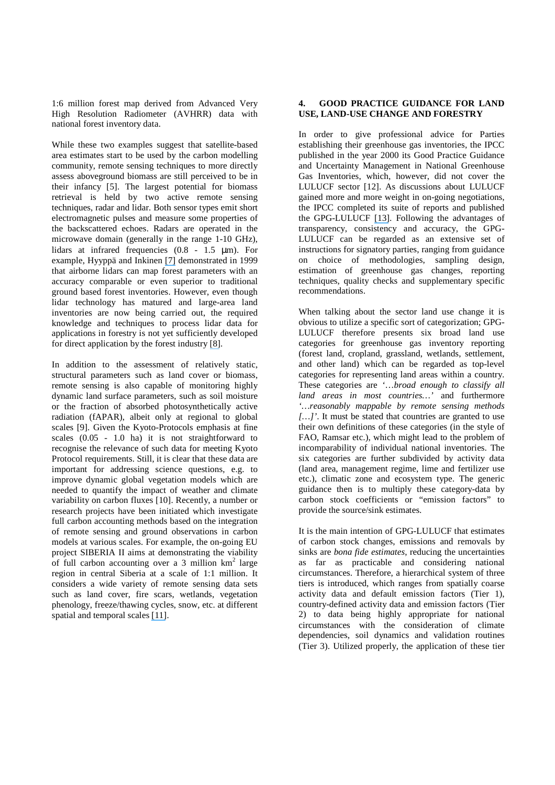1:6 million forest map derived from Advanced Very High Resolution Radiometer (AVHRR) data with national forest inventory data.

While these two examples suggest that satellite-based area estimates start to be used by the carbon modelling community, remote sensing techniques to more directly assess aboveground biomass are still perceived to be in their infancy [5]. The largest potential for biomass retrieval is held by two active remote sensing techniques, radar and lidar. Both sensor types emit short electromagnetic pulses and measure some properties of the backscattered echoes. Radars are operated in the microwave domain (generally in the range 1-10 GHz), lidars at infrared frequencies (0.8 - 1.5 µm). For example, Hyyppä and Inkinen [\[7\]](https://www.researchgate.net/publication/258707378_Detecting_and_estimating_attributes_for_single_trees_using_laser_scanner_Photogramm_J_Finl?el=1_x_8&enrichId=rgreq-df4a0bf0c8e28b0ea7ee230101593959-XXX&enrichSource=Y292ZXJQYWdlOzIyOTAyMDE4MjtBUzozMzU4NjQ1OTM5NjA5NjJAMTQ1NzA4Nzc2NzY1MQ==) demonstrated in 1999 that airborne lidars can map forest parameters with an accuracy comparable or even superior to traditional ground based forest inventories. However, even though lidar technology has matured and large-area land inventories are now being carried out, the required knowledge and techniques to process lidar data for applications in forestry is not yet sufficiently developed for direct application by the forest industry [\[8\]](https://www.researchgate.net/publication/232181349_LIDAR_remote_sensing_of_forest_structure?el=1_x_8&enrichId=rgreq-df4a0bf0c8e28b0ea7ee230101593959-XXX&enrichSource=Y292ZXJQYWdlOzIyOTAyMDE4MjtBUzozMzU4NjQ1OTM5NjA5NjJAMTQ1NzA4Nzc2NzY1MQ==).

In addition to the assessment of relatively static, structural parameters such as land cover or biomass, remote sensing is also capable of monitoring highly dynamic land surface parameters, such as soil moisture or the fraction of absorbed photosynthetically active radiation (fAPAR), albeit only at regional to global scales [9]. Given the Kyoto-Protocols emphasis at fine scales (0.05 - 1.0 ha) it is not straightforward to recognise the relevance of such data for meeting Kyoto Protocol requirements. Still, it is clear that these data are important for addressing science questions, e.g. to improve dynamic global vegetation models which are needed to quantify the impact of weather and climate variability on carbon fluxes [10]. Recently, a number or research projects have been initiated which investigate full carbon accounting methods based on the integration of remote sensing and ground observations in carbon models at various scales. For example, the on-going EU project SIBERIA II aims at demonstrating the viability of full carbon accounting over a 3 million  $km^2$  large region in central Siberia at a scale of 1:1 million. It considers a wide variety of remote sensing data sets such as land cover, fire scars, wetlands, vegetation phenology, freeze/thawing cycles, snow, etc. at different spatial and temporal scales [\[11\]](https://www.researchgate.net/publication/4064301_SIBERIA-II_sensor_systems_and_data_products_for_greenhouse_gas_accounting?el=1_x_8&enrichId=rgreq-df4a0bf0c8e28b0ea7ee230101593959-XXX&enrichSource=Y292ZXJQYWdlOzIyOTAyMDE4MjtBUzozMzU4NjQ1OTM5NjA5NjJAMTQ1NzA4Nzc2NzY1MQ==).

## **4. GOOD PRACTICE GUIDANCE FOR LAND USE, LAND-USE CHANGE AND FORESTRY**

In order to give professional advice for Parties establishing their greenhouse gas inventories, the IPCC published in the year 2000 its Good Practice Guidance and Uncertainty Management in National Greenhouse Gas Inventories, which, however, did not cover the LULUCF sector [12]. As discussions about LULUCF gained more and more weight in on-going negotiations, the IPCC completed its suite of reports and published the GPG-LULUCF [\[13\]](https://www.researchgate.net/publication/235704467_Good_Practice_Guidance_for_Land_Use_Land-Use_Change_and_Forestry?el=1_x_8&enrichId=rgreq-df4a0bf0c8e28b0ea7ee230101593959-XXX&enrichSource=Y292ZXJQYWdlOzIyOTAyMDE4MjtBUzozMzU4NjQ1OTM5NjA5NjJAMTQ1NzA4Nzc2NzY1MQ==). Following the advantages of transparency, consistency and accuracy, the GPG-LULUCF can be regarded as an extensive set of instructions for signatory parties, ranging from guidance on choice of methodologies, sampling design, estimation of greenhouse gas changes, reporting techniques, quality checks and supplementary specific recommendations.

When talking about the sector land use change it is obvious to utilize a specific sort of categorization; GPG-LULUCF therefore presents six broad land use categories for greenhouse gas inventory reporting (forest land, cropland, grassland, wetlands, settlement, and other land) which can be regarded as top-level categories for representing land areas within a country. These categories are *'*…*broad enough to classify all land areas in most countries…'* and furthermore *'…reasonably mappable by remote sensing methods […]'*. It must be stated that countries are granted to use their own definitions of these categories (in the style of FAO, Ramsar etc.), which might lead to the problem of incomparability of individual national inventories. The six categories are further subdivided by activity data (land area, management regime, lime and fertilizer use etc.), climatic zone and ecosystem type. The generic guidance then is to multiply these category-data by carbon stock coefficients or "emission factors" to provide the source/sink estimates.

It is the main intention of GPG-LULUCF that estimates of carbon stock changes, emissions and removals by sinks are *bona fide estimates*, reducing the uncertainties as far as practicable and considering national circumstances. Therefore, a hierarchical system of three tiers is introduced, which ranges from spatially coarse activity data and default emission factors (Tier 1), country-defined activity data and emission factors (Tier 2) to data being highly appropriate for national circumstances with the consideration of climate dependencies, soil dynamics and validation routines (Tier 3). Utilized properly, the application of these tier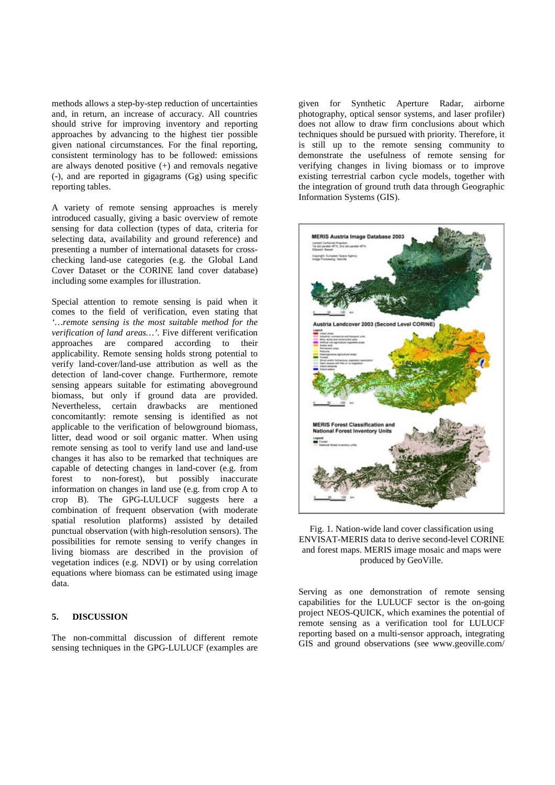methods allows a step-by-step reduction of uncertainties and, in return, an increase of accuracy. All countries should strive for improving inventory and reporting approaches by advancing to the highest tier possible given national circumstances. For the final reporting, consistent terminology has to be followed: emissions are always denoted positive (+) and removals negative (-), and are reported in gigagrams (Gg) using specific reporting tables.

A variety of remote sensing approaches is merely introduced casually, giving a basic overview of remote sensing for data collection (types of data, criteria for selecting data, availability and ground reference) and presenting a number of international datasets for crosschecking land-use categories (e.g. the Global Land Cover Dataset or the CORINE land cover database) including some examples for illustration.

Special attention to remote sensing is paid when it comes to the field of verification, even stating that *'…remote sensing is the most suitable method for the verification of land areas…'*. Five different verification approaches are compared according to their applicability. Remote sensing holds strong potential to verify land-cover/land-use attribution as well as the detection of land-cover change. Furthermore, remote sensing appears suitable for estimating aboveground biomass, but only if ground data are provided. Nevertheless, certain drawbacks are mentioned concomitantly: remote sensing is identified as not applicable to the verification of belowground biomass, litter, dead wood or soil organic matter. When using remote sensing as tool to verify land use and land-use changes it has also to be remarked that techniques are capable of detecting changes in land-cover (e.g. from forest to non-forest), but possibly inaccurate information on changes in land use (e.g. from crop A to crop B). The GPG-LULUCF suggests here a combination of frequent observation (with moderate spatial resolution platforms) assisted by detailed punctual observation (with high-resolution sensors). The possibilities for remote sensing to verify changes in living biomass are described in the provision of vegetation indices (e.g. NDVI) or by using correlation equations where biomass can be estimated using image data.

## **5. DISCUSSION**

The non-committal discussion of different remote sensing techniques in the GPG-LULUCF (examples are

given for Synthetic Aperture Radar, airborne photography, optical sensor systems, and laser profiler) does not allow to draw firm conclusions about which techniques should be pursued with priority. Therefore, it is still up to the remote sensing community to demonstrate the usefulness of remote sensing for verifying changes in living biomass or to improve existing terrestrial carbon cycle models, together with the integration of ground truth data through Geographic Information Systems (GIS).





Serving as one demonstration of remote sensing capabilities for the LULUCF sector is the on-going project NEOS-QUICK, which examines the potential of remote sensing as a verification tool for LULUCF reporting based on a multi-sensor approach, integrating GIS and ground observations (see www.geoville.com/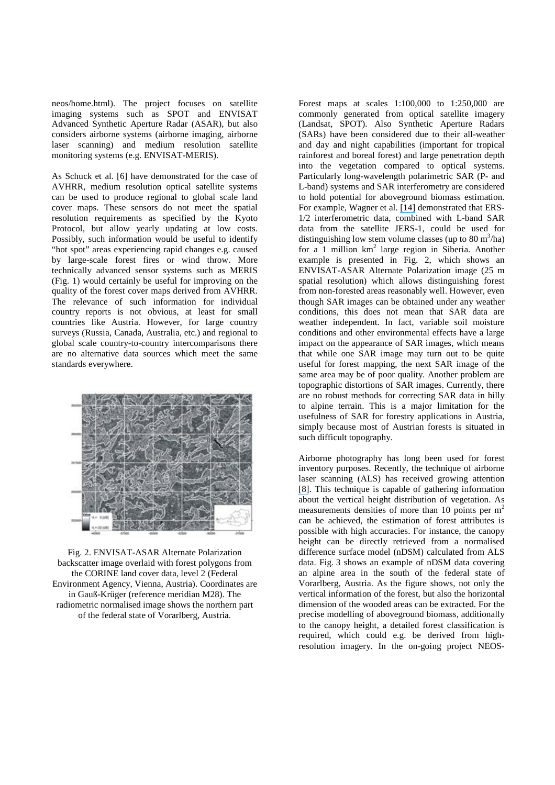neos/home.html). The project focuses on satellite imaging systems such as SPOT and ENVISAT Advanced Synthetic Aperture Radar (ASAR), but also considers airborne systems (airborne imaging, airborne laser scanning) and medium resolution satellite monitoring systems (e.g. ENVISAT-MERIS).

As Schuck et al. [6] have demonstrated for the case of AVHRR, medium resolution optical satellite systems can be used to produce regional to global scale land cover maps. These sensors do not meet the spatial resolution requirements as specified by the Kyoto Protocol, but allow yearly updating at low costs. Possibly, such information would be useful to identify "hot spot" areas experiencing rapid changes e.g. caused by large-scale forest fires or wind throw. More technically advanced sensor systems such as MERIS (Fig. 1) would certainly be useful for improving on the quality of the forest cover maps derived from AVHRR. The relevance of such information for individual country reports is not obvious, at least for small countries like Austria. However, for large country surveys (Russia, Canada, Australia, etc.) and regional to global scale country-to-country intercomparisons there are no alternative data sources which meet the same standards everywhere.



Fig. 2. ENVISAT-ASAR Alternate Polarization backscatter image overlaid with forest polygons from the CORINE land cover data, level 2 (Federal Environment Agency, Vienna, Austria). Coordinates are in Gauß-Krüger (reference meridian M28). The radiometric normalised image shows the northern part of the federal state of Vorarlberg, Austria.

Forest maps at scales 1:100,000 to 1:250,000 are commonly generated from optical satellite imagery (Landsat, SPOT). Also Synthetic Aperture Radars (SARs) have been considered due to their all-weather and day and night capabilities (important for tropical rainforest and boreal forest) and large penetration depth into the vegetation compared to optical systems. Particularly long-wavelength polarimetric SAR (P- and L-band) systems and SAR interferometry are considered to hold potential for aboveground biomass estimation. For example, Wagner et al. [\[14\]](https://www.researchgate.net/publication/259278976_Evaluation_of_the_agreement_between_the_first_global_remotely_sensed_soil_moisture_data_with_model_and_precipitation_data_httpwwwaguorgpubscrossref20032003JD003663shtmlaccessed_3_December_2012?el=1_x_8&enrichId=rgreq-df4a0bf0c8e28b0ea7ee230101593959-XXX&enrichSource=Y292ZXJQYWdlOzIyOTAyMDE4MjtBUzozMzU4NjQ1OTM5NjA5NjJAMTQ1NzA4Nzc2NzY1MQ==) demonstrated that ERS-1/2 interferometric data, combined with L-band SAR data from the satellite JERS-1, could be used for distinguishing low stem volume classes (up to  $80 \text{ m}^3/\text{ha}$ ) for a 1 million  $km^2$  large region in Siberia. Another example is presented in Fig. 2, which shows an ENVISAT-ASAR Alternate Polarization image (25 m spatial resolution) which allows distinguishing forest from non-forested areas reasonably well. However, even though SAR images can be obtained under any weather conditions, this does not mean that SAR data are weather independent. In fact, variable soil moisture conditions and other environmental effects have a large impact on the appearance of SAR images, which means that while one SAR image may turn out to be quite useful for forest mapping, the next SAR image of the same area may be of poor quality. Another problem are topographic distortions of SAR images. Currently, there are no robust methods for correcting SAR data in hilly to alpine terrain. This is a major limitation for the usefulness of SAR for forestry applications in Austria, simply because most of Austrian forests is situated in such difficult topography.

Airborne photography has long been used for forest inventory purposes. Recently, the technique of airborne laser scanning (ALS) has received growing attention [\[8\]](https://www.researchgate.net/publication/232181349_LIDAR_remote_sensing_of_forest_structure?el=1_x_8&enrichId=rgreq-df4a0bf0c8e28b0ea7ee230101593959-XXX&enrichSource=Y292ZXJQYWdlOzIyOTAyMDE4MjtBUzozMzU4NjQ1OTM5NjA5NjJAMTQ1NzA4Nzc2NzY1MQ==). This technique is capable of gathering information about the vertical height distribution of vegetation. As measurements densities of more than 10 points per  $m<sup>2</sup>$ can be achieved, the estimation of forest attributes is possible with high accuracies. For instance, the canopy height can be directly retrieved from a normalised difference surface model (nDSM) calculated from ALS data. Fig. 3 shows an example of nDSM data covering an alpine area in the south of the federal state of Vorarlberg, Austria. As the figure shows, not only the vertical information of the forest, but also the horizontal dimension of the wooded areas can be extracted. For the precise modelling of aboveground biomass, additionally to the canopy height, a detailed forest classification is required, which could e.g. be derived from highresolution imagery. In the on-going project NEOS-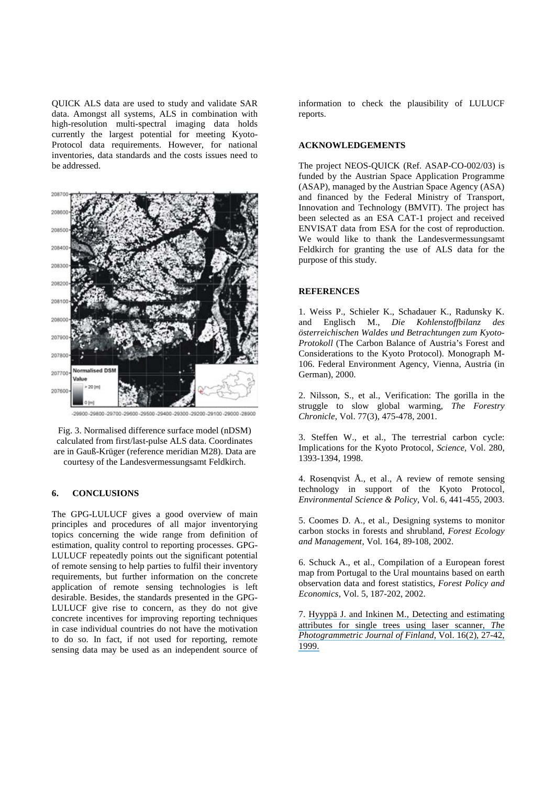QUICK ALS data are used to study and validate SAR data. Amongst all systems, ALS in combination with high-resolution multi-spectral imaging data holds currently the largest potential for meeting Kyoto-Protocol data requirements. However, for national inventories, data standards and the costs issues need to be addressed.



-29900-29800-29700-29600-29500-29400-29300-29200-29100-29000-28900

Fig. 3. Normalised difference surface model (nDSM) calculated from first/last-pulse ALS data. Coordinates are in Gauß-Krüger (reference meridian M28). Data are courtesy of the Landesvermessungsamt Feldkirch.

#### **6. CONCLUSIONS**

The GPG-LULUCF gives a good overview of main principles and procedures of all major inventorying topics concerning the wide range from definition of estimation, quality control to reporting processes. GPG-LULUCF repeatedly points out the significant potential of remote sensing to help parties to fulfil their inventory requirements, but further information on the concrete application of remote sensing technologies is left desirable. Besides, the standards presented in the GPG-LULUCF give rise to concern, as they do not give concrete incentives for improving reporting techniques in case individual countries do not have the motivation to do so. In fact, if not used for reporting, remote sensing data may be used as an independent source of information to check the plausibility of LULUCF reports.

#### **ACKNOWLEDGEMENTS**

The project NEOS-QUICK (Ref. ASAP-CO-002/03) is funded by the Austrian Space Application Programme (ASAP), managed by the Austrian Space Agency (ASA) and financed by the Federal Ministry of Transport, Innovation and Technology (BMVIT). The project has been selected as an ESA CAT-1 project and received ENVISAT data from ESA for the cost of reproduction. We would like to thank the Landesvermessungsamt Feldkirch for granting the use of ALS data for the purpose of this study.

#### **REFERENCES**

1. Weiss P., Schieler K., Schadauer K., Radunsky K. and Englisch M., *Die Kohlenstoffbilanz des österreichischen Waldes und Betrachtungen zum Kyoto-Protokoll* (The Carbon Balance of Austria's Forest and Considerations to the Kyoto Protocol). Monograph M-106. Federal Environment Agency, Vienna, Austria (in German), 2000.

2. Nilsson, S., et al., Verification: The gorilla in the struggle to slow global warming, *The Forestry Chronicle*, Vol. 77(3), 475-478, 2001.

3. Steffen W., et al., The terrestrial carbon cycle: Implications for the Kyoto Protocol, *Science*, Vol. 280, 1393-1394, 1998.

4. Rosenqvist Å., et al., A review of remote sensing technology in support of the Kyoto Protocol, *Environmental Science & Policy*, Vol. 6, 441-455, 2003.

5. Coomes D. A., et al., Designing systems to monitor carbon stocks in forests and shrubland, *Forest Ecology and Management*, Vol. 164, 89-108, 2002.

6. Schuck A., et al., Compilation of a European forest map from Portugal to the Ural mountains based on earth observation data and forest statistics, *Forest Policy and Economics*, Vol. 5, 187-202, 2002.

7. [Hyyppä J. and Inkinen M., Detecting and estimating](https://www.researchgate.net/publication/258707378_Detecting_and_estimating_attributes_for_single_trees_using_laser_scanner_Photogramm_J_Finl?el=1_x_8&enrichId=rgreq-df4a0bf0c8e28b0ea7ee230101593959-XXX&enrichSource=Y292ZXJQYWdlOzIyOTAyMDE4MjtBUzozMzU4NjQ1OTM5NjA5NjJAMTQ1NzA4Nzc2NzY1MQ==)  [attributes for single trees using laser scanner,](https://www.researchgate.net/publication/258707378_Detecting_and_estimating_attributes_for_single_trees_using_laser_scanner_Photogramm_J_Finl?el=1_x_8&enrichId=rgreq-df4a0bf0c8e28b0ea7ee230101593959-XXX&enrichSource=Y292ZXJQYWdlOzIyOTAyMDE4MjtBUzozMzU4NjQ1OTM5NjA5NjJAMTQ1NzA4Nzc2NzY1MQ==) *The [Photogrammetric Journal of Finland](https://www.researchgate.net/publication/258707378_Detecting_and_estimating_attributes_for_single_trees_using_laser_scanner_Photogramm_J_Finl?el=1_x_8&enrichId=rgreq-df4a0bf0c8e28b0ea7ee230101593959-XXX&enrichSource=Y292ZXJQYWdlOzIyOTAyMDE4MjtBUzozMzU4NjQ1OTM5NjA5NjJAMTQ1NzA4Nzc2NzY1MQ==)*, Vol. 16(2), 27-42, [1999.](https://www.researchgate.net/publication/258707378_Detecting_and_estimating_attributes_for_single_trees_using_laser_scanner_Photogramm_J_Finl?el=1_x_8&enrichId=rgreq-df4a0bf0c8e28b0ea7ee230101593959-XXX&enrichSource=Y292ZXJQYWdlOzIyOTAyMDE4MjtBUzozMzU4NjQ1OTM5NjA5NjJAMTQ1NzA4Nzc2NzY1MQ==)